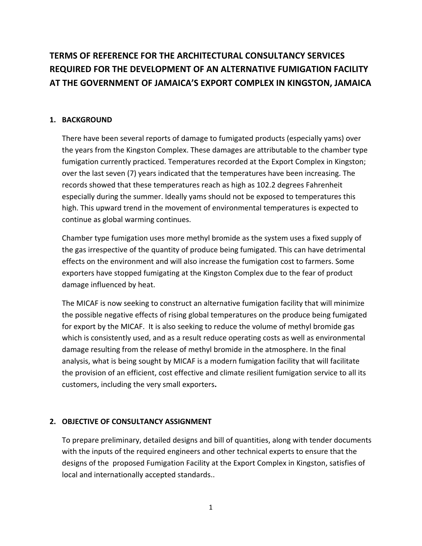# **TERMS OF REFERENCE FOR THE ARCHITECTURAL CONSULTANCY SERVICES REQUIRED FOR THE DEVELOPMENT OF AN ALTERNATIVE FUMIGATION FACILITY AT THE GOVERNMENT OF JAMAICA'S EXPORT COMPLEX IN KINGSTON, JAMAICA**

# **1. BACKGROUND**

There have been several reports of damage to fumigated products (especially yams) over the years from the Kingston Complex. These damages are attributable to the chamber type fumigation currently practiced. Temperatures recorded at the Export Complex in Kingston; over the last seven (7) years indicated that the temperatures have been increasing. The records showed that these temperatures reach as high as 102.2 degrees Fahrenheit especially during the summer. Ideally yams should not be exposed to temperatures this high. This upward trend in the movement of environmental temperatures is expected to continue as global warming continues.

Chamber type fumigation uses more methyl bromide as the system uses a fixed supply of the gas irrespective of the quantity of produce being fumigated. This can have detrimental effects on the environment and will also increase the fumigation cost to farmers. Some exporters have stopped fumigating at the Kingston Complex due to the fear of product damage influenced by heat.

The MICAF is now seeking to construct an alternative fumigation facility that will minimize the possible negative effects of rising global temperatures on the produce being fumigated for export by the MICAF. It is also seeking to reduce the volume of methyl bromide gas which is consistently used, and as a result reduce operating costs as well as environmental damage resulting from the release of methyl bromide in the atmosphere. In the final analysis, what is being sought by MICAF is a modern fumigation facility that will facilitate the provision of an efficient, cost effective and climate resilient fumigation service to all its customers, including the very small exporters**.** 

## **2. OBJECTIVE OF CONSULTANCY ASSIGNMENT**

To prepare preliminary, detailed designs and bill of quantities, along with tender documents with the inputs of the required engineers and other technical experts to ensure that the designs of the proposed Fumigation Facility at the Export Complex in Kingston, satisfies of local and internationally accepted standards..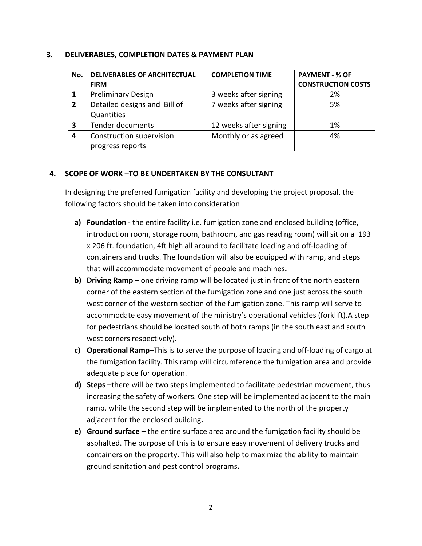## **3. DELIVERABLES, COMPLETION DATES & PAYMENT PLAN**

| No. | <b>DELIVERABLES OF ARCHITECTUAL</b> | <b>COMPLETION TIME</b> | <b>PAYMENT - % OF</b>     |
|-----|-------------------------------------|------------------------|---------------------------|
|     | <b>FIRM</b>                         |                        | <b>CONSTRUCTION COSTS</b> |
|     | <b>Preliminary Design</b>           | 3 weeks after signing  | 2%                        |
| 2   | Detailed designs and Bill of        | 7 weeks after signing  | 5%                        |
|     | Quantities                          |                        |                           |
| 3   | <b>Tender documents</b>             | 12 weeks after signing | 1%                        |
| 4   | Construction supervision            | Monthly or as agreed   | 4%                        |
|     | progress reports                    |                        |                           |

# **4. SCOPE OF WORK –TO BE UNDERTAKEN BY THE CONSULTANT**

In designing the preferred fumigation facility and developing the project proposal, the following factors should be taken into consideration

- **a) Foundation** ‐ the entire facility i.e. fumigation zone and enclosed building (office, introduction room, storage room, bathroom, and gas reading room) will sit on a 193 x 206 ft. foundation, 4ft high all around to facilitate loading and off‐loading of containers and trucks. The foundation will also be equipped with ramp, and steps that will accommodate movement of people and machines**.**
- **b) Driving Ramp –** one driving ramp will be located just in front of the north eastern corner of the eastern section of the fumigation zone and one just across the south west corner of the western section of the fumigation zone. This ramp will serve to accommodate easy movement of the ministry's operational vehicles (forklift).A step for pedestrians should be located south of both ramps (in the south east and south west corners respectively).
- **c) Operational Ramp–**This is to serve the purpose of loading and off‐loading of cargo at the fumigation facility. This ramp will circumference the fumigation area and provide adequate place for operation.
- **d) Steps –**there will be two steps implemented to facilitate pedestrian movement, thus increasing the safety of workers. One step will be implemented adjacent to the main ramp, while the second step will be implemented to the north of the property adjacent for the enclosed building**.**
- **e) Ground surface –** the entire surface area around the fumigation facility should be asphalted. The purpose of this is to ensure easy movement of delivery trucks and containers on the property. This will also help to maximize the ability to maintain ground sanitation and pest control programs**.**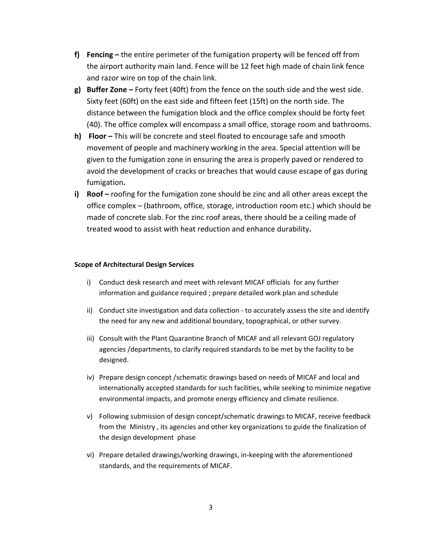- **f) Fencing –** the entire perimeter of the fumigation property will be fenced off from the airport authority main land. Fence will be 12 feet high made of chain link fence and razor wire on top of the chain link.
- **g) Buffer Zone –** Forty feet (40ft) from the fence on the south side and the west side. Sixty feet (60ft) on the east side and fifteen feet (15ft) on the north side. The distance between the fumigation block and the office complex should be forty feet (40). The office complex will encompass a small office, storage room and bathrooms.
- **h) Floor –** This will be concrete and steel floated to encourage safe and smooth movement of people and machinery working in the area. Special attention will be given to the fumigation zone in ensuring the area is properly paved or rendered to avoid the development of cracks or breaches that would cause escape of gas during fumigation**.**
- **i) Roof –** roofing for the fumigation zone should be zinc and all other areas except the office complex – (bathroom, office, storage, introduction room etc.) which should be made of concrete slab. For the zinc roof areas, there should be a ceiling made of treated wood to assist with heat reduction and enhance durability**.**

## **Scope of Architectural Design Services**

- i) Conduct desk research and meet with relevant MICAF officials for any further information and guidance required ; prepare detailed work plan and schedule
- ii) Conduct site investigation and data collection to accurately assess the site and identify the need for any new and additional boundary, topographical, or other survey.
- iii) Consult with the Plant Quarantine Branch of MICAF and all relevant GOJ regulatory agencies /departments, to clarify required standards to be met by the facility to be designed.
- iv) Prepare design concept /schematic drawings based on needs of MICAF and local and internationally accepted standards for such facilities, while seeking to minimize negative environmental impacts, and promote energy efficiency and climate resilience.
- v) Following submission of design concept/schematic drawings to MICAF, receive feedback from the Ministry , its agencies and other key organizations to guide the finalization of the design development phase
- vi) Prepare detailed drawings/working drawings, in‐keeping with the aforementioned standards, and the requirements of MICAF.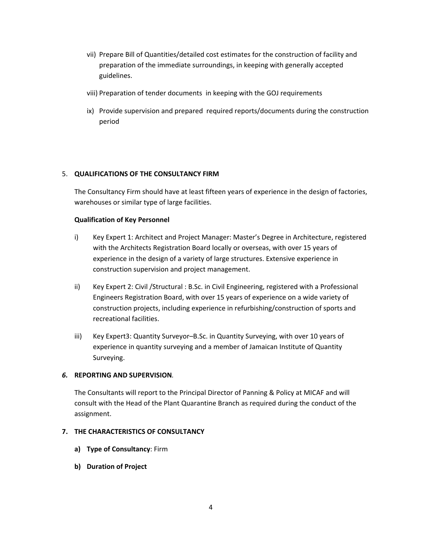- vii) Prepare Bill of Quantities/detailed cost estimates for the construction of facility and preparation of the immediate surroundings, in keeping with generally accepted guidelines.
- viii) Preparation of tender documents in keeping with the GOJ requirements
- ix) Provide supervision and prepared required reports/documents during the construction period

## 5. **QUALIFICATIONS OF THE CONSULTANCY FIRM**

The Consultancy Firm should have at least fifteen years of experience in the design of factories, warehouses or similar type of large facilities.

### **Qualification of Key Personnel**

- i) Key Expert 1: Architect and Project Manager: Master's Degree in Architecture, registered with the Architects Registration Board locally or overseas, with over 15 years of experience in the design of a variety of large structures. Extensive experience in construction supervision and project management.
- ii) Key Expert 2: Civil /Structural : B.Sc. in Civil Engineering, registered with a Professional Engineers Registration Board, with over 15 years of experience on a wide variety of construction projects, including experience in refurbishing/construction of sports and recreational facilities.
- iii) Key Expert3: Quantity Surveyor–B.Sc. in Quantity Surveying, with over 10 years of experience in quantity surveying and a member of Jamaican Institute of Quantity Surveying.

### *6.* **REPORTING AND SUPERVISION***.*

The Consultants will report to the Principal Director of Panning & Policy at MICAF and will consult with the Head of the Plant Quarantine Branch as required during the conduct of the assignment.

### **7. THE CHARACTERISTICS OF CONSULTANCY**

- **a) Type of Consultancy**: Firm
- **b) Duration of Project**